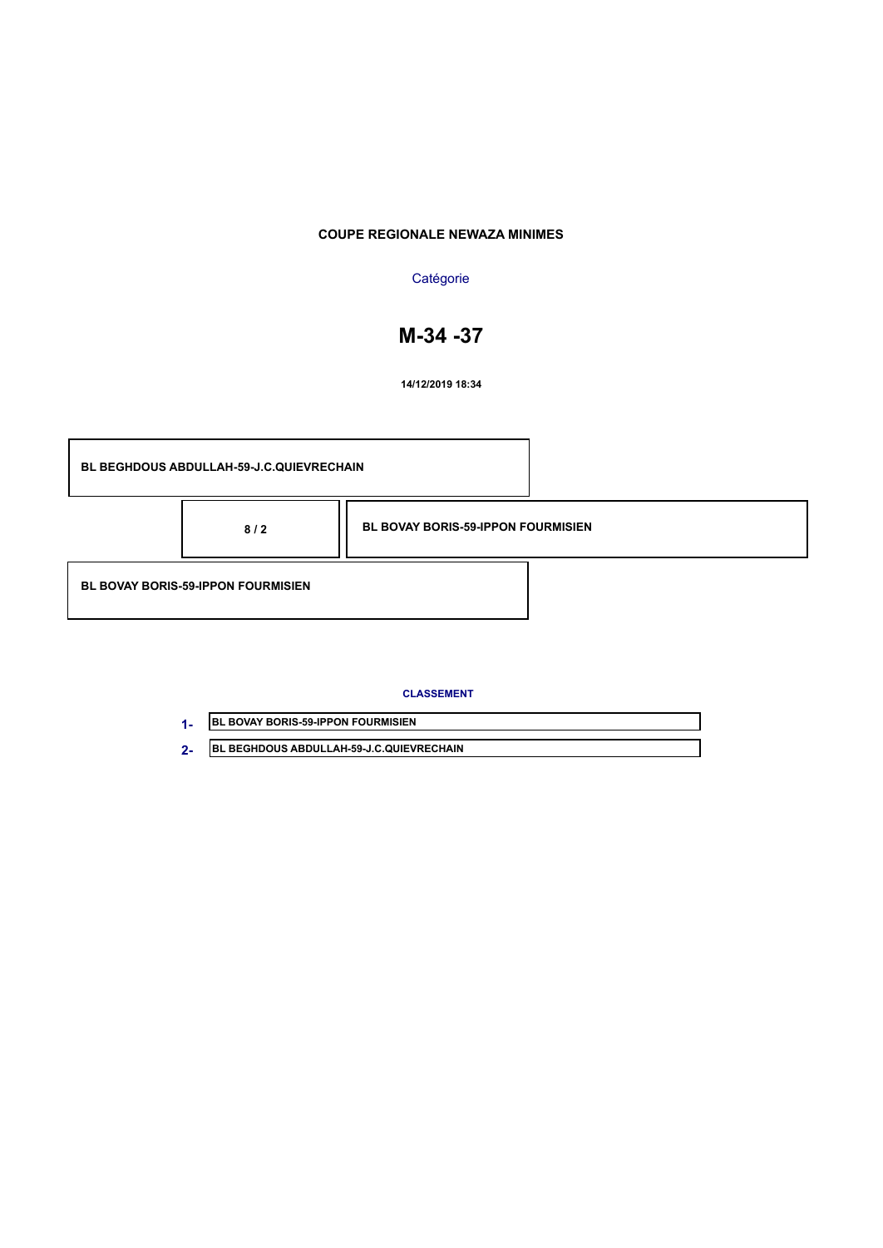## **Catégorie**

# **M-34 -37**

**14/12/2019 18:34**

| <b>BL BEGHDOUS ABDULLAH-59-J.C.QUIEVRECHAIN</b> |                                           |  |
|-------------------------------------------------|-------------------------------------------|--|
| 8/2                                             | <b>BL BOVAY BORIS-59-IPPON FOURMISIEN</b> |  |
| <b>BL BOVAY BORIS-59-IPPON FOURMISIEN</b>       |                                           |  |

### **CLASSEMENT**

| <b>BL BOVAY BORIS-59-IPPON FOURMISIEN</b>        |
|--------------------------------------------------|
| <b>IBL BEGHDOUS ABDULLAH-59-J.C.QUIEVRECHAIN</b> |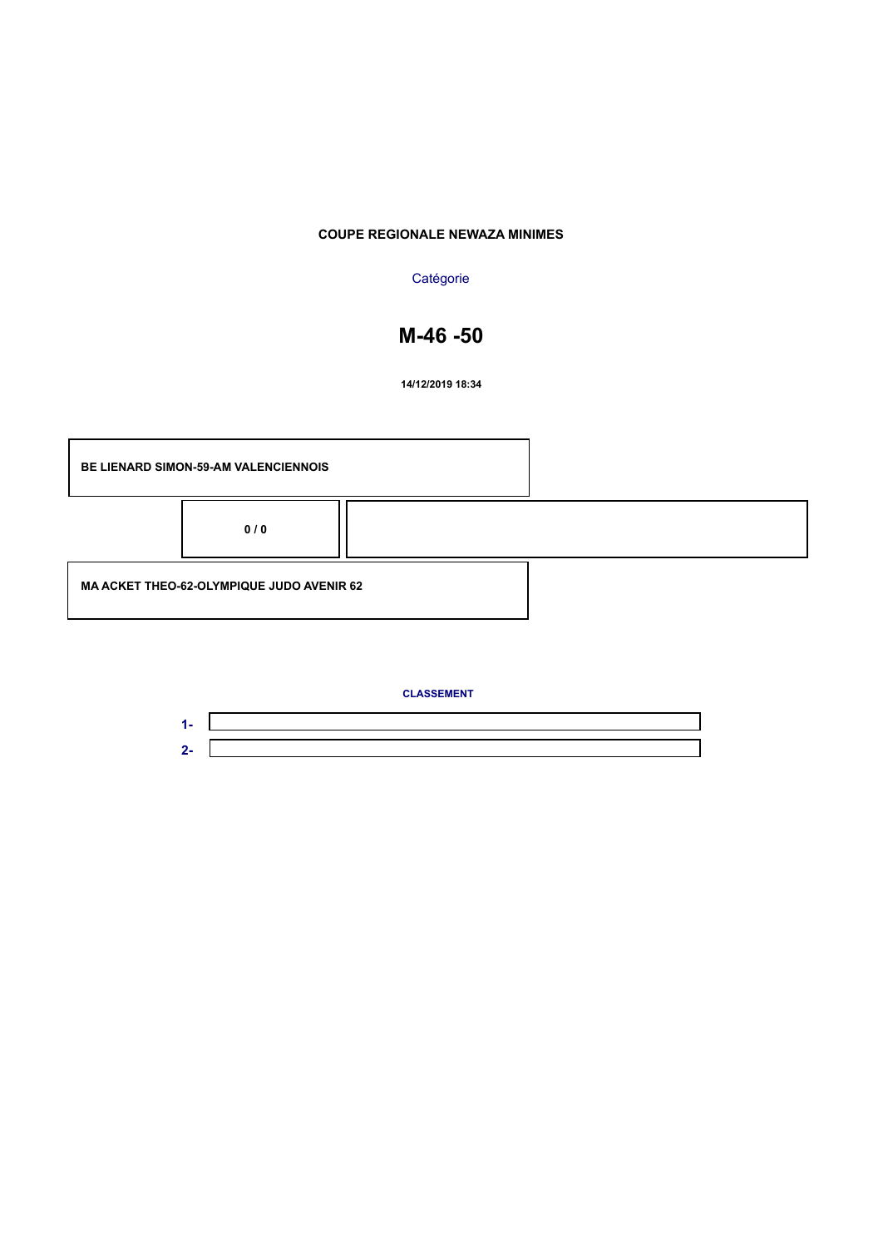### **Catégorie**

# **M-46 -50**

**14/12/2019 18:34**



**CLASSEMENT**

**1- 2-**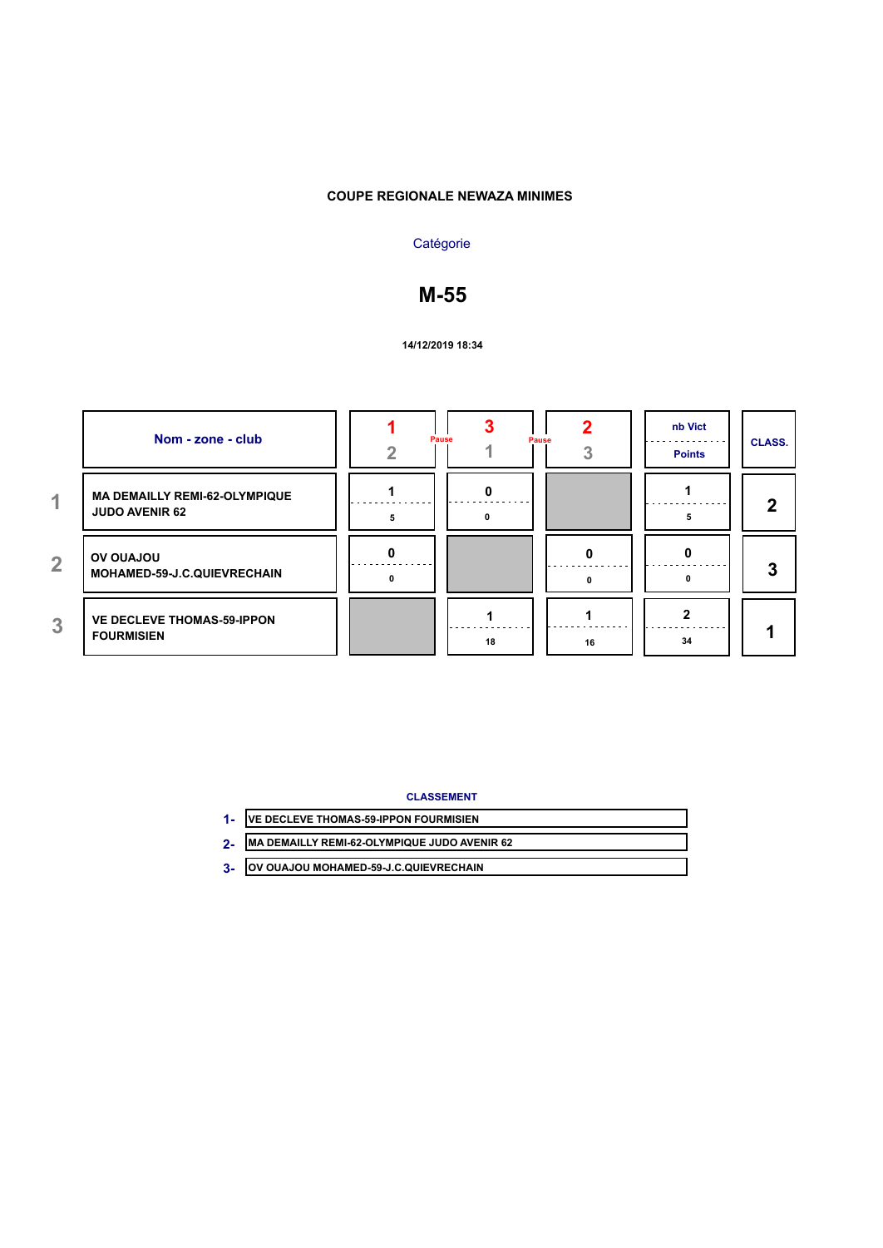## **Catégorie**

## **M-55**

### **14/12/2019 18:34**

|                | Nom - zone - club                                             | Pause | Pause | nb Vict<br><b>Points</b> | <b>CLASS.</b> |
|----------------|---------------------------------------------------------------|-------|-------|--------------------------|---------------|
| 4.             | <b>MA DEMAILLY REMI-62-OLYMPIQUE</b><br><b>JUDO AVENIR 62</b> |       |       |                          | 2             |
| $\overline{2}$ | <b>UOLAUO VO</b><br>MOHAMED-59-J.C.QUIEVRECHAIN               |       |       |                          | 3             |
| 3              | <b>VE DECLEVE THOMAS-59-IPPON</b><br><b>FOURMISIEN</b>        | 18    | 16    | 34                       |               |

### **CLASSEMENT**

| <b>/E DECLEVE THOMAS-59-IPPON FOURMISIEN</b> |  |
|----------------------------------------------|--|
| MA DEMAILLY REMI-62-OLYMPIQUE JUDO AVENIR 62 |  |

**OV OUAJOU MOHAMED-59-J.C.QUIEVRECHAIN 3-**